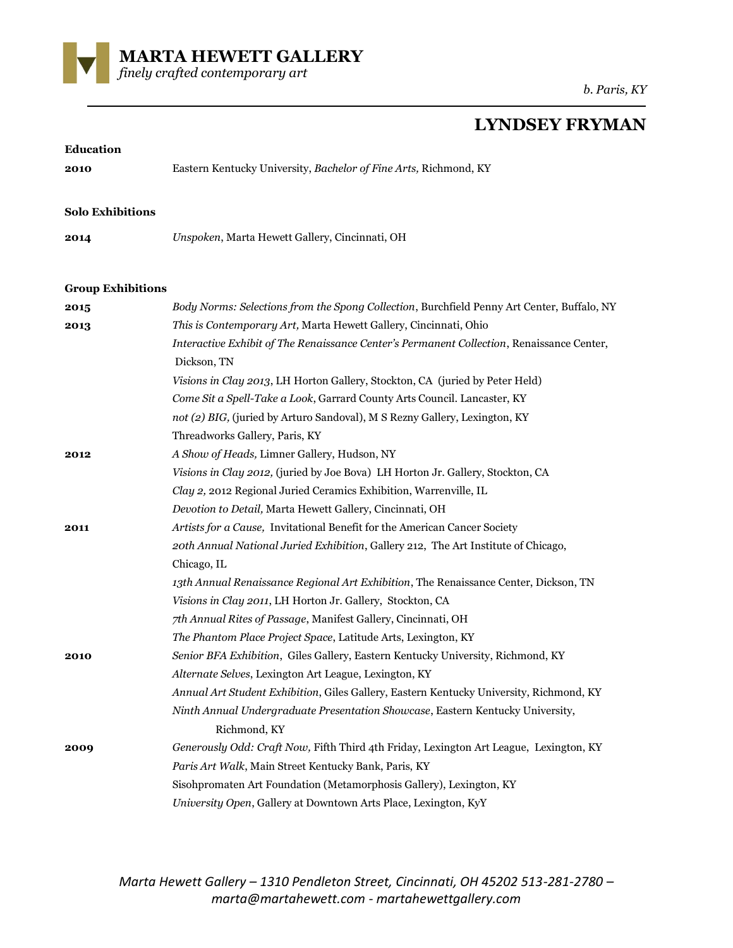

## **LYNDSEY FRYMAN**

| <b>Education</b>         |                                                                                            |
|--------------------------|--------------------------------------------------------------------------------------------|
| 2010                     | Eastern Kentucky University, Bachelor of Fine Arts, Richmond, KY                           |
|                          |                                                                                            |
| <b>Solo Exhibitions</b>  |                                                                                            |
|                          |                                                                                            |
| 2014                     | Unspoken, Marta Hewett Gallery, Cincinnati, OH                                             |
|                          |                                                                                            |
| <b>Group Exhibitions</b> |                                                                                            |
| 2015                     | Body Norms: Selections from the Spong Collection, Burchfield Penny Art Center, Buffalo, NY |
| 2013                     | This is Contemporary Art, Marta Hewett Gallery, Cincinnati, Ohio                           |
|                          | Interactive Exhibit of The Renaissance Center's Permanent Collection, Renaissance Center,  |
|                          | Dickson, TN                                                                                |
|                          | Visions in Clay 2013, LH Horton Gallery, Stockton, CA (juried by Peter Held)               |
|                          | Come Sit a Spell-Take a Look, Garrard County Arts Council. Lancaster, KY                   |
|                          | not (2) BIG, (juried by Arturo Sandoval), M S Rezny Gallery, Lexington, KY                 |
|                          | Threadworks Gallery, Paris, KY                                                             |
| 2012                     | A Show of Heads, Limner Gallery, Hudson, NY                                                |
|                          | Visions in Clay 2012, (juried by Joe Bova) LH Horton Jr. Gallery, Stockton, CA             |
|                          | Clay 2, 2012 Regional Juried Ceramics Exhibition, Warrenville, IL                          |
|                          | Devotion to Detail, Marta Hewett Gallery, Cincinnati, OH                                   |
| 2011                     | Artists for a Cause, Invitational Benefit for the American Cancer Society                  |
|                          | 20th Annual National Juried Exhibition, Gallery 212, The Art Institute of Chicago,         |
|                          | Chicago, IL                                                                                |
|                          | 13th Annual Renaissance Regional Art Exhibition, The Renaissance Center, Dickson, TN       |
|                          | Visions in Clay 2011, LH Horton Jr. Gallery, Stockton, CA                                  |
|                          | 7th Annual Rites of Passage, Manifest Gallery, Cincinnati, OH                              |
|                          | The Phantom Place Project Space, Latitude Arts, Lexington, KY                              |
| 2010                     | Senior BFA Exhibition, Giles Gallery, Eastern Kentucky University, Richmond, KY            |
|                          | Alternate Selves, Lexington Art League, Lexington, KY                                      |
|                          | Annual Art Student Exhibition, Giles Gallery, Eastern Kentucky University, Richmond, KY    |
|                          | Ninth Annual Undergraduate Presentation Showcase, Eastern Kentucky University,             |
|                          | Richmond, KY                                                                               |
| 2009                     | Generously Odd: Craft Now, Fifth Third 4th Friday, Lexington Art League, Lexington, KY     |
|                          | Paris Art Walk, Main Street Kentucky Bank, Paris, KY                                       |
|                          | Sisohpromaten Art Foundation (Metamorphosis Gallery), Lexington, KY                        |
|                          | University Open, Gallery at Downtown Arts Place, Lexington, KyY                            |